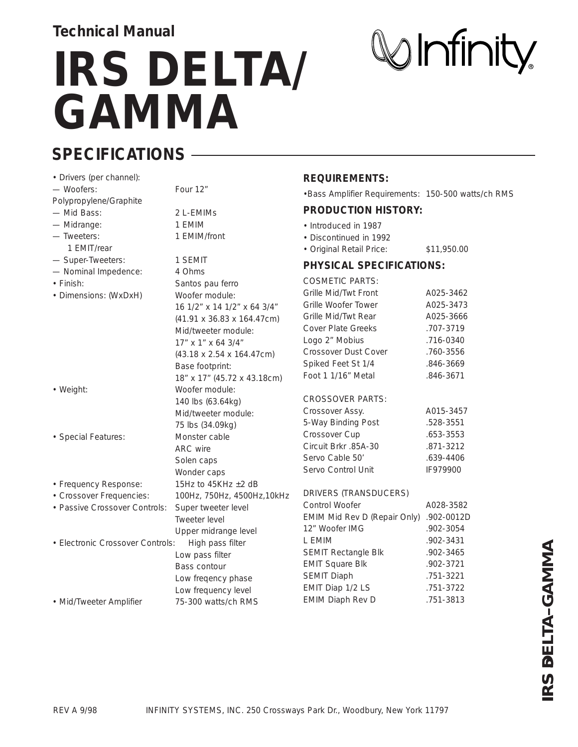## **IRS DELTA/ GAMMA**

**SPECIFICATIONS**

| • Drivers (per channel):                             |                             | <b>REQUIREMENTS:</b>                                                    |                   |
|------------------------------------------------------|-----------------------------|-------------------------------------------------------------------------|-------------------|
| - Woofers:                                           | Four 12"                    | . Bass Amplifier Requirements: 150-500 watts/ch RMS                     |                   |
| Polypropylene/Graphite                               |                             | <b>PRODUCTION HISTORY:</b>                                              |                   |
| - Mid Bass:                                          | 2 L-EMIMS                   |                                                                         |                   |
| - Midrange:                                          | 1 EMIM                      | • Introduced in 1987                                                    |                   |
| - Tweeters:                                          | 1 EMIM/front                | • Discontinued in 1992                                                  |                   |
| 1 EMIT/rear                                          |                             | • Original Retail Price:                                                | \$11,950.00       |
| - Super-Tweeters:                                    | 1 SEMIT                     | <b>PHYSICAL SPECIFICATIONS:</b>                                         |                   |
| - Nominal Impedence:                                 | 4 Ohms                      | <b>COSMETIC PARTS:</b>                                                  |                   |
| • Finish:                                            | Santos pau ferro            | Grille Mid/Twt Front                                                    | A025-3462         |
| • Dimensions: (WxDxH)                                | Woofer module:              | Grille Woofer Tower                                                     | A025-3473         |
|                                                      | 16 1/2" x 14 1/2" x 64 3/4" | Grille Mid/Twt Rear                                                     | A025-3666         |
|                                                      | (41.91 x 36.83 x 164.47cm)  | <b>Cover Plate Greeks</b>                                               | .707-3719         |
|                                                      | Mid/tweeter module:         | Logo 2" Mobius                                                          | .716-0340         |
|                                                      | 17" x 1" x 64 3/4"          | Crossover Dust Cover                                                    | .760-3556         |
|                                                      | (43.18 x 2.54 x 164.47cm)   | Spiked Feet St 1/4                                                      | .846-3669         |
|                                                      | Base footprint:             | Foot 1 1/16" Metal                                                      | .846-3671         |
|                                                      | 18" x 17" (45.72 x 43.18cm) |                                                                         |                   |
| • Weight:                                            | Woofer module:              | <b>CROSSOVER PARTS:</b>                                                 |                   |
|                                                      | 140 lbs (63.64kg)           | Crossover Assy.                                                         | A015-3457         |
|                                                      | Mid/tweeter module:         | 5-Way Binding Post                                                      | .528-3551         |
|                                                      | 75 lbs (34.09kg)            | Crossover Cup                                                           | .653-3553         |
| · Special Features:                                  | Monster cable               | Circuit Brkr .85A-30                                                    | .871-3212         |
|                                                      | ARC wire                    | Servo Cable 50'                                                         | .639-4406         |
|                                                      | Solen caps                  | Servo Control Unit                                                      | IF979900          |
|                                                      | Wonder caps                 |                                                                         |                   |
| • Frequency Response:                                | 15Hz to 45KHz $\pm 2$ dB    | DRIVERS (TRANSDUCERS)                                                   |                   |
| • Crossover Frequencies:                             | 100Hz, 750Hz, 4500Hz, 10kHz | Control Woofer                                                          | A028-3582         |
| • Passive Crossover Controls:                        | Super tweeter level         | <b>EMIM Mid Rev D (Repair Only)</b>                                     | .902-0012D        |
|                                                      | Tweeter level               | 12" Woofer IMG                                                          | .902-3054         |
|                                                      | Upper midrange level        | L EMIM                                                                  | .902-3431         |
| • Electronic Crossover Controls:<br>High pass filter |                             | SEMIT Rectangle Blk                                                     | .902-3465         |
|                                                      | Low pass filter             | <b>EMIT Square Blk</b>                                                  | .902-3721         |
|                                                      | Bass contour                | <b>SEMIT Diaph</b>                                                      | AMMA<br>.751-3221 |
|                                                      | Low freqency phase          | EMIT Diap 1/2 LS                                                        | .751-3722         |
|                                                      | Low frequency level         | <b>EMIM Diaph Rev D</b>                                                 | .751-3813         |
| • Mid/Tweeter Amplifier                              | 75-300 watts/ch RMS         |                                                                         |                   |
|                                                      |                             |                                                                         | IRS DELTA-G       |
|                                                      |                             |                                                                         |                   |
|                                                      |                             |                                                                         |                   |
|                                                      |                             |                                                                         |                   |
|                                                      |                             |                                                                         |                   |
|                                                      |                             |                                                                         |                   |
|                                                      |                             |                                                                         |                   |
|                                                      |                             |                                                                         |                   |
| <b>REV A 9/98</b>                                    |                             | INFINITY SYSTEMS, INC. 250 Crossways Park Dr., Woodbury, New York 11797 |                   |

# $\mathbb{W}$ Infinity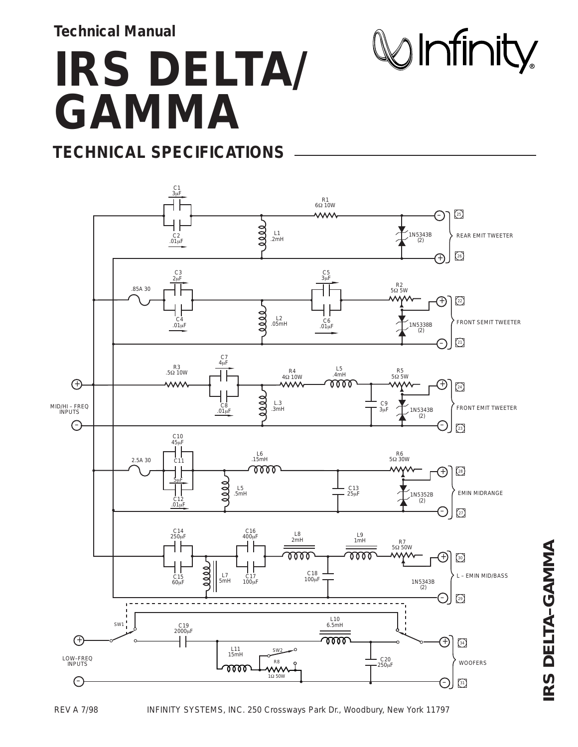## **IRS DELTA/ GAMMA**

 $\mathbb{W}$ Infinity

#### **TECHNICAL SPECIFICATIONS**



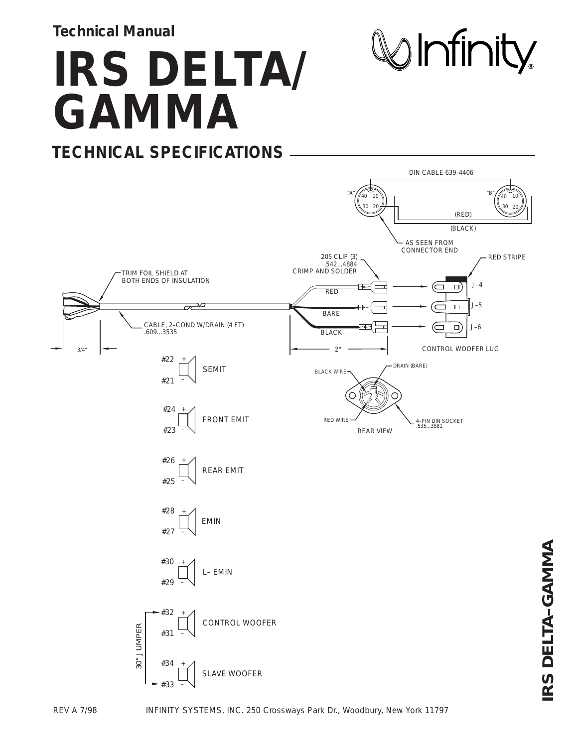**IRS DELTA/ GAMMA TECHNICAL SPECIFICATIONS**

 $\bigotimes$ Infinity